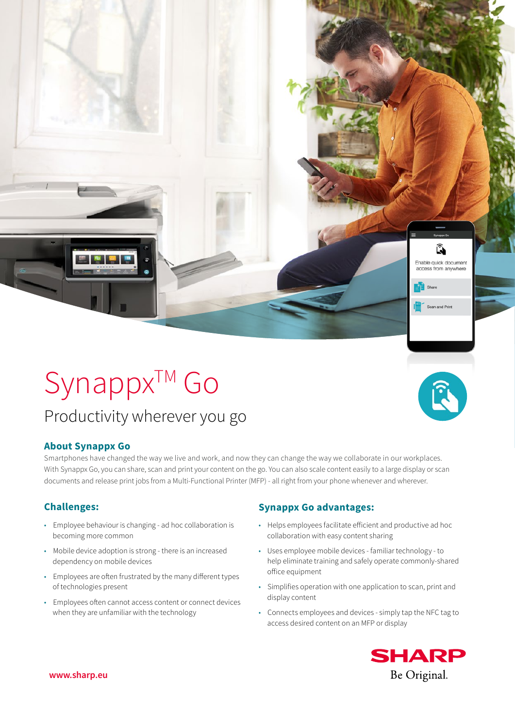Synappx™ Go

# Productivity wherever you go

## **About Synappx Go**

Smartphones have changed the way we live and work, and now they can change the way we collaborate in our workplaces. With Synappx Go, you can share, scan and print your content on the go. You can also scale content easily to a large display or scan documents and release print jobs from a Multi-Functional Printer (MFP) - all right from your phone whenever and wherever.

- Employee behaviour is changing ad hoc collaboration is becoming more common
- Mobile device adoption is strong there is an increased dependency on mobile devices
- Employees are often frustrated by the many different types of technologies present
- Employees often cannot access content or connect devices when they are unfamiliar with the technology

# **Challenges: Synappx Go advantages:**

- Helps employees facilitate efficient and productive ad hoc collaboration with easy content sharing
- Uses employee mobile devices familiar technology to help eliminate training and safely operate commonly-shared office equipment
- Simplifies operation with one application to scan, print and display content
- Connects employees and devices simply tap the NFC tag to access desired content on an MFP or display



û. Enable quick document access from anywhere

Scan and Print

 $\mathbf{E}$  Shan